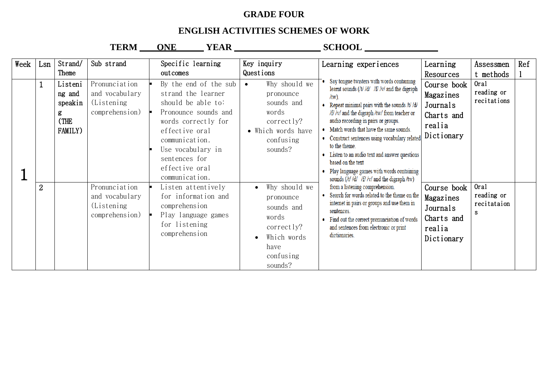## **GRADE FOUR**

## **ENGLISH ACTIVITIES SCHEMES OF WORK**

TERM ONE YEAR SCHOOL

| Week | Lsn                            | Strand/<br>Theme                                            | Sub strand                                                                                                                           | Specific learning<br>outcomes                                                                                                                                                                                                                                                                                                                         | Key inquiry<br>Questions                                                                                                                                                                                                                     | Learning experiences                                                                                                                                                                                                                                                                                                                                                                                                                                                                                                                                                                                                                                                                                                                                                                                 | Learning<br>Resources                                                                                                                                    | Assessmen<br>t methods                                                       | Ref |
|------|--------------------------------|-------------------------------------------------------------|--------------------------------------------------------------------------------------------------------------------------------------|-------------------------------------------------------------------------------------------------------------------------------------------------------------------------------------------------------------------------------------------------------------------------------------------------------------------------------------------------------|----------------------------------------------------------------------------------------------------------------------------------------------------------------------------------------------------------------------------------------------|------------------------------------------------------------------------------------------------------------------------------------------------------------------------------------------------------------------------------------------------------------------------------------------------------------------------------------------------------------------------------------------------------------------------------------------------------------------------------------------------------------------------------------------------------------------------------------------------------------------------------------------------------------------------------------------------------------------------------------------------------------------------------------------------------|----------------------------------------------------------------------------------------------------------------------------------------------------------|------------------------------------------------------------------------------|-----|
|      | $\mathbf{1}$<br>$\overline{2}$ | Listeni<br>ng and<br>speakin<br>g<br>(THE<br><b>FAMILY)</b> | Pronunciation<br>and vocabulary<br>(Listening)<br>comprehension)<br>Pronunciation<br>and vocabulary<br>(Listening)<br>comprehension) | By the end of the sub<br>strand the learner<br>should be able to:<br>Pronounce sounds and<br>words correctly for<br>effective oral<br>communication.<br>Use vocabulary in<br>sentences for<br>effective oral<br>communication.<br>Listen attentively<br>for information and<br>comprehension<br>Play language games<br>for listening<br>comprehension | Why should we<br>$\bullet$<br>pronounce<br>sounds and<br>words<br>correctly?<br>• Which words have<br>confusing<br>sounds?<br>Why should we<br>pronounce<br>sounds and<br>words<br>correctly?<br>Which words<br>have<br>confusing<br>sounds? | Say tongue twisters with words containing<br>learnt sounds (/t/ /d/ /f/ /v/ and the digraph<br>$/$ tw $)$<br>• Repeat minimal pairs with the sounds $/t / d/$<br>/f//v/ and the digraph /tw/ from teacher or<br>audio recording in pairs or groups.<br>• Match words that have the same sounds.<br>• Construct sentences using vocabulary related<br>to the theme.<br>• Listen to an audio text and answer questions<br>based on the text<br>Play language games with words containing<br>sounds (/t/ /d/ /f/ /v/ and the digraph /tw)<br>from a listening comprehension.<br>• Search for words related to the theme on the<br>internet in pairs or groups and use them in<br>sentences.<br>• Find out the correct pronunciation of words<br>and sentences from electronic or print<br>dictionaries. | Course book<br>Magazines<br>Journals<br>Charts and<br>realia<br>Dictionary<br>Course book<br>Magazines<br>Journals<br>Charts and<br>realia<br>Dictionary | Oral<br>reading or<br>recitations<br>Oral<br>reading or<br>recitataion<br>S. |     |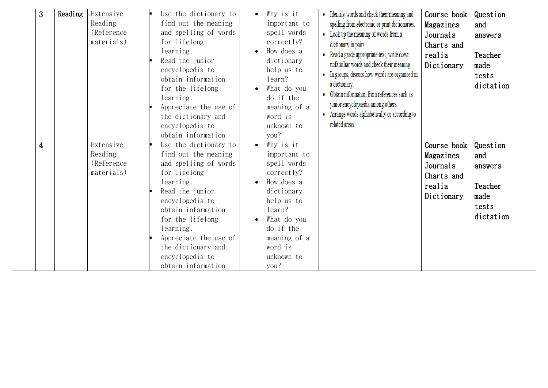| 3              | Reading | Extensive<br>Reading<br>(Reference<br>materials)  | Use the dictionary to<br>find out the meaning<br>and spelling of words<br>for lifelong<br>learning.<br>Read the junior<br>encyclopedia to<br>obtain information<br>for the lifelong<br>learning.<br>Appreciate the use of<br>the dictionary and<br>encyclopedia to<br>obtain information | Why is it<br>important to<br>spell words<br>correctly?<br>How does a<br>dictionary<br>help us to<br>learn?<br>What do you<br>do if the<br>meaning of a<br>word is<br>unknown to<br>you? | • Identify words and check their meaning and<br>spelling from electronic or print dictionaries.<br>• Look up the meaning of words from a<br>dictionary in pairs.<br>• Read a grade appropriate text, write down<br>unfamiliar words and check their meaning.<br>• In groups, discuss how words are organised in<br>a dictionary.<br>Obtain information from references such as<br>junior encyclopaedia among others.<br>Arrange words alphabetically or according to<br>related areas. | Course book<br>Magazines<br>Journals<br>Charts and<br>realia<br>Dictionary | Question<br>and<br>answers<br>Teacher<br>made<br>tests<br>dictation |  |
|----------------|---------|---------------------------------------------------|------------------------------------------------------------------------------------------------------------------------------------------------------------------------------------------------------------------------------------------------------------------------------------------|-----------------------------------------------------------------------------------------------------------------------------------------------------------------------------------------|----------------------------------------------------------------------------------------------------------------------------------------------------------------------------------------------------------------------------------------------------------------------------------------------------------------------------------------------------------------------------------------------------------------------------------------------------------------------------------------|----------------------------------------------------------------------------|---------------------------------------------------------------------|--|
| $\overline{4}$ |         | Extensive<br>Reading<br>(Reference)<br>materials) | Use the dictionary to<br>find out the meaning<br>and spelling of words<br>for lifelong<br>learning.<br>Read the junior<br>encyclopedia to<br>obtain information<br>for the lifelong<br>learning.<br>Appreciate the use of<br>the dictionary and<br>encyclopedia to<br>obtain information | Why is it<br>important to<br>spell words<br>correctly?<br>How does a<br>dictionary<br>help us to<br>learn?<br>What do you<br>do if the<br>meaning of a<br>word is<br>unknown to<br>you? |                                                                                                                                                                                                                                                                                                                                                                                                                                                                                        | Course book<br>Magazines<br>Journals<br>Charts and<br>realia<br>Dictionary | Question<br>and<br>answers<br>Teacher<br>made<br>tests<br>dictation |  |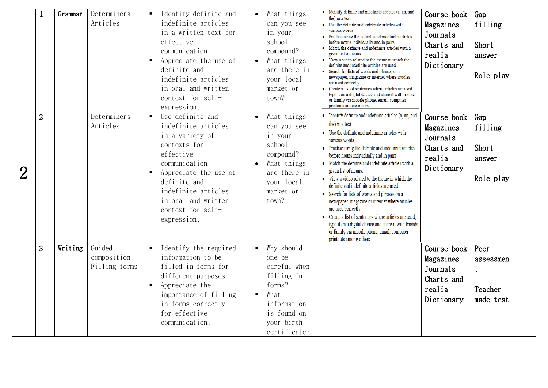|                | $\mathbf{1}$   | Grammar | Determiners<br>Articles                | Identify definite and<br>indefinite articles<br>in a written text for<br>effective<br>communication.<br>Appreciate the use of<br>definite and<br>indefinite articles<br>in oral and written<br>context for self-<br>expression.     |                | What things<br>can you see<br>in your<br>school<br>compound?<br>What things<br>are there in<br>your local<br>market or<br>town?  | • Identify definite and indefinite articles (a, an, and<br>the) in a text.<br>• Use the definite and indefinite articles with<br>various words<br>• Practise using the definite and indefinite articles<br>before nouns individually and in pairs.<br>• Match the definite and indefinite articles with a<br>given list of nouns.<br>• View a video related to the theme in which the<br>definite and indefinite articles are used.<br>• Search for lists of words and phrases on a<br>newspaper, magazine or internet where articles<br>are used correctly.<br>• Create a list of sentences where articles are used,<br>type it on a digital device and share it with friends<br>or family via mobile phone, email, computer<br>printouts among others. | Course book<br>Magazines<br>Journals<br>Charts and<br>realia<br>Dictionary | Gap<br>filling<br>Short<br>answer<br>Role play |  |
|----------------|----------------|---------|----------------------------------------|-------------------------------------------------------------------------------------------------------------------------------------------------------------------------------------------------------------------------------------|----------------|----------------------------------------------------------------------------------------------------------------------------------|----------------------------------------------------------------------------------------------------------------------------------------------------------------------------------------------------------------------------------------------------------------------------------------------------------------------------------------------------------------------------------------------------------------------------------------------------------------------------------------------------------------------------------------------------------------------------------------------------------------------------------------------------------------------------------------------------------------------------------------------------------|----------------------------------------------------------------------------|------------------------------------------------|--|
| $\overline{2}$ | $\overline{2}$ |         | Determiners<br>Articles                | Use definite and<br>indefinite articles<br>in a variety of<br>contexts for<br>effective<br>communication<br>Appreciate the use of<br>definite and<br>indefinite articles<br>in oral and written<br>context for self-<br>expression. | $\bullet$      | What things<br>can you see<br>in your<br>school<br>compound?<br>What things<br>are there in<br>your local<br>market or<br>town?  | • Identify definite and indefinite articles (a, an, and<br>the) in a text.<br>• Use the definite and indefinite articles with<br>various words<br>• Practise using the definite and indefinite articles<br>before nouns individually and in pairs.<br>• Match the definite and indefinite articles with a<br>given list of nouns.<br>• View a video related to the theme in which the<br>definite and indefinite articles are used.<br>• Search for lists of words and phrases on a<br>newspaper, magazine or internet where articles<br>are used correctly.<br>• Create a list of sentences where articles are used.<br>type it on a digital device and share it with friends<br>or family via mobile phone, email, computer<br>printouts among others. | Course book<br>Magazines<br>Journals<br>Charts and<br>realia<br>Dictionary | Gap<br>filling<br>Short<br>answer<br>Role play |  |
|                | 3              | Writing | Guided<br>composition<br>Filling forms | Identify the required<br>information to be<br>filled in forms for<br>different purposes.<br>Appreciate the<br>importance of filling<br>in forms correctly<br>for effective<br>communication.                                        | $\blacksquare$ | Why should<br>one be<br>careful when<br>filling in<br>forms?<br>What<br>information<br>is found on<br>your birth<br>certificate? |                                                                                                                                                                                                                                                                                                                                                                                                                                                                                                                                                                                                                                                                                                                                                          | Course book<br>Magazines<br>Journals<br>Charts and<br>realia<br>Dictionary | Peer<br>assessmen<br>t<br>Teacher<br>made test |  |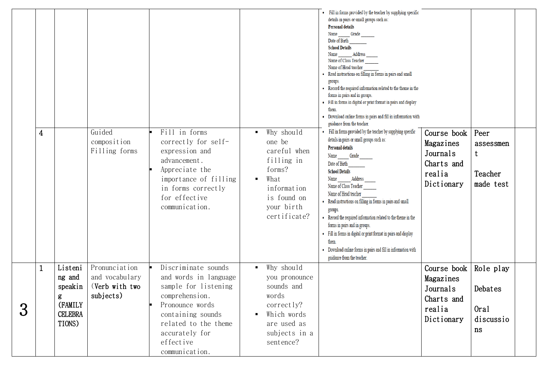|   | 4 |                                                                          | Guided<br>composition<br>Filling forms                         | Fill in forms<br>correctly for self-<br>expression and<br>advancement.<br>Appreciate the<br>importance of filling<br>in forms correctly<br>for effective<br>communication.                              | Why should<br>$\blacksquare$<br>one be<br>careful when<br>filling in<br>forms?<br>What<br>$\blacksquare$<br>information<br>is found on<br>your birth<br>certificate? | • Fill in forms provided by the teacher by supplying specific<br>details in pairs or small groups such as:<br><b>Personal details</b><br>Name ________ Grade<br>Date of Birth<br><b>School Details</b><br>Name Address<br>Name of Class Teacher<br>Name of Head teacher<br>Read instructions on filling in forms in pairs and small<br>groups.<br>• Record the required information related to the theme in the<br>forms in pairs and in groups.<br>· Fill in forms in digital or print format in pairs and display<br>them.<br>• Download online forms in pairs and fill in information with<br>guidance from the teacher.<br>• Fill in forms provided by the teacher by supplying specific<br>details in pairs or small groups such as:<br><b>Personal details</b><br>Name Grade<br>Date of Birth<br><b>School Details</b><br>Name Address<br>Name of Class Teacher<br>Name of Head teacher<br>• Read instructions on filling in forms in pairs and small<br>groups.<br>• Record the required information related to the theme in the<br>forms in pairs and in groups.<br>· Fill in forms in digital or print format in pairs and display<br>them. | Course book<br>Magazines<br>Journals<br>Charts and<br>realia<br>Dictionary | Peer<br>assessmen<br>t<br>Teacher<br>made test  |  |
|---|---|--------------------------------------------------------------------------|----------------------------------------------------------------|---------------------------------------------------------------------------------------------------------------------------------------------------------------------------------------------------------|----------------------------------------------------------------------------------------------------------------------------------------------------------------------|------------------------------------------------------------------------------------------------------------------------------------------------------------------------------------------------------------------------------------------------------------------------------------------------------------------------------------------------------------------------------------------------------------------------------------------------------------------------------------------------------------------------------------------------------------------------------------------------------------------------------------------------------------------------------------------------------------------------------------------------------------------------------------------------------------------------------------------------------------------------------------------------------------------------------------------------------------------------------------------------------------------------------------------------------------------------------------------------------------------------------------------------------|----------------------------------------------------------------------------|-------------------------------------------------|--|
|   |   |                                                                          |                                                                |                                                                                                                                                                                                         |                                                                                                                                                                      | • Download online forms in pairs and fill in information with<br>guidance from the teacher.                                                                                                                                                                                                                                                                                                                                                                                                                                                                                                                                                                                                                                                                                                                                                                                                                                                                                                                                                                                                                                                          |                                                                            |                                                 |  |
| 3 | 1 | Listeni<br>ng and<br>speakin<br>g<br>(FAMILY<br><b>CELEBRA</b><br>TIONS) | Pronunciation<br>and vocabulary<br>(Verb with two<br>subjects) | Discriminate sounds<br>and words in language<br>sample for listening<br>comprehension.<br>Pronounce words<br>containing sounds<br>related to the theme<br>accurately for<br>effective<br>communication. | Why should<br>$\blacksquare$<br>you pronounce<br>sounds and<br>words<br>correctly?<br>Which words<br>are used as<br>subjects in a<br>sentence?                       |                                                                                                                                                                                                                                                                                                                                                                                                                                                                                                                                                                                                                                                                                                                                                                                                                                                                                                                                                                                                                                                                                                                                                      | Course book<br>Magazines<br>Journals<br>Charts and<br>realia<br>Dictionary | Role play<br>Debates<br>0ral<br>discussio<br>ns |  |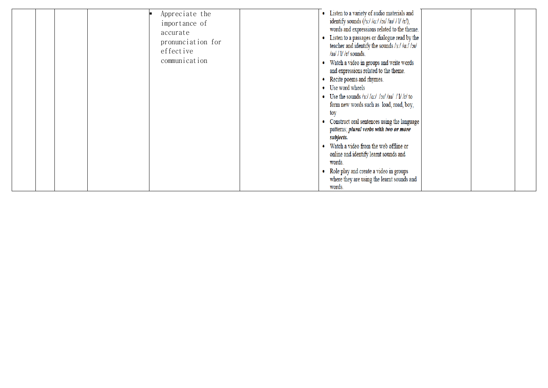|  | Appreciate the<br>importance of<br>accurate<br>pronunciation for<br>effective<br>communication |  | Listen to a variety of audio materials and<br>identify sounds $(\frac{3!}{\alpha!} / \alpha / \alpha / \alpha / \alpha / \gamma / \gamma)$ ,<br>words and expressions related to the theme.<br>Listen to a passages or dialogue read by the<br>teacher and identify the sounds /3:/ / $a$ :/ / $b$ u/<br>$/au$ / $1/$ $/r/$ sounds.<br>Watch a video in groups and write words<br>and expressions related to the theme.<br>Recite poems and rhymes.<br>• Use word wheels<br>• Use the sounds /3:/ / $\alpha$ :/ / $\alpha$ 1/ /a1/ / 1/ / $\alpha$ / to<br>form new words such as load, road, boy,<br>tov<br>Construct oral sentences using the language<br>patterns; plural verbs with two or more<br>subjects.<br>Watch a video from the web offline or<br>online and identify learnt sounds and<br>words.<br>Role play and create a video in groups<br>where they are using the learnt sounds and<br>words. |  |  |  |
|--|------------------------------------------------------------------------------------------------|--|----------------------------------------------------------------------------------------------------------------------------------------------------------------------------------------------------------------------------------------------------------------------------------------------------------------------------------------------------------------------------------------------------------------------------------------------------------------------------------------------------------------------------------------------------------------------------------------------------------------------------------------------------------------------------------------------------------------------------------------------------------------------------------------------------------------------------------------------------------------------------------------------------------------|--|--|--|
|--|------------------------------------------------------------------------------------------------|--|----------------------------------------------------------------------------------------------------------------------------------------------------------------------------------------------------------------------------------------------------------------------------------------------------------------------------------------------------------------------------------------------------------------------------------------------------------------------------------------------------------------------------------------------------------------------------------------------------------------------------------------------------------------------------------------------------------------------------------------------------------------------------------------------------------------------------------------------------------------------------------------------------------------|--|--|--|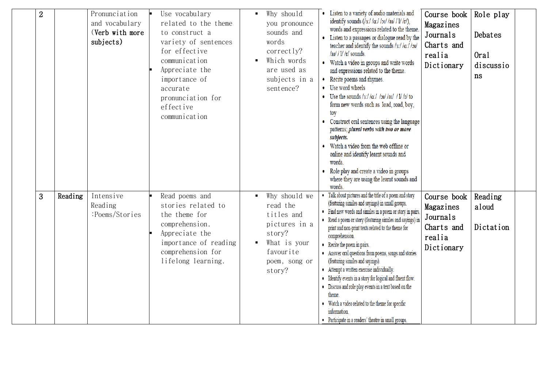| $\overline{2}$ |         | Pronunciation<br>and vocabulary<br>(Verb with more<br>subjects) | Use vocabulary<br>related to the theme<br>to construct a<br>variety of sentences<br>for effective<br>communication<br>Appreciate the<br>importance of<br>accurate<br>pronunciation for<br>effective<br>communication | Why should<br>you pronounce<br>sounds and<br>words<br>correctly?<br>Which words<br>are used as<br>subjects in a<br>sentence? | Listen to a variety of audio materials and<br>identify sounds $(\frac{1}{3}$ :/ $\frac{1}{\alpha}$ :/ $\frac{1}{\alpha}$ / $\frac{1}{\alpha}$ / $\frac{1}{\alpha}$ / $\frac{1}{\alpha}$ / $\frac{1}{\alpha}$ / $\frac{1}{\alpha}$ / $\frac{1}{\alpha}$ / $\frac{1}{\alpha}$ / $\frac{1}{\alpha}$ / $\frac{1}{\alpha}$ / $\frac{1}{\alpha}$ / $\frac{1}{\alpha}$ / $\frac{1}{\alpha}$ / $\frac{1}{\alpha}$ / $\frac{1}{\alpha}$ / $\frac{1}{\alpha}$ / $\frac{1}{$<br>words and expressions related to the theme.<br>Listen to a passages or dialogue read by the<br>teacher and identify the sounds $/3$ :/ $/a$ :/ $/5$ u/<br>$/au$ / $1/$ $/r/$ sounds.<br>Watch a video in groups and write words<br>and expressions related to the theme.<br>Recite poems and rhymes.<br>Use word wheels<br>Use the sounds /3:// $a$ :// $a$ // $a$ // $a$ // $a$ /// $b$ // $b$ /to<br>form new words such as load, road, boy,<br>toy<br>Construct oral sentences using the language<br>patterns; plural verbs with two or more<br>subjects.<br>Watch a video from the web offline or<br>online and identify learnt sounds and<br>words.<br>Role play and create a video in groups<br>where they are using the learnt sounds and<br>words. | Course book<br>Magazines<br>Journals<br>Charts and<br>realia<br>Dictionary | Role play<br>Debates<br>Oral<br>discussio<br>ns |  |
|----------------|---------|-----------------------------------------------------------------|----------------------------------------------------------------------------------------------------------------------------------------------------------------------------------------------------------------------|------------------------------------------------------------------------------------------------------------------------------|---------------------------------------------------------------------------------------------------------------------------------------------------------------------------------------------------------------------------------------------------------------------------------------------------------------------------------------------------------------------------------------------------------------------------------------------------------------------------------------------------------------------------------------------------------------------------------------------------------------------------------------------------------------------------------------------------------------------------------------------------------------------------------------------------------------------------------------------------------------------------------------------------------------------------------------------------------------------------------------------------------------------------------------------------------------------------------------------------------------------------------------------------------------------------------------------------------------------------------|----------------------------------------------------------------------------|-------------------------------------------------|--|
| 3              | Reading | Intensive<br>Reading<br>:Poems/Stories                          | Read poems and<br>stories related to<br>the theme for<br>comprehension.<br>Appreciate the<br>importance of reading<br>comprehension for<br>lifelong learning.                                                        | Why should we<br>read the<br>titles and<br>pictures in a<br>story?<br>What is your<br>favourite<br>poem, song or<br>story?   | Talk about pictures and the title of a poem and story<br>(featuring similes and sayings) in small groups.<br>• Find new words and similes in a poem or story in pairs.<br>• Read a poem or story (featuring similes and sayings) in<br>print and non-print texts related to the theme for<br>comprehension.<br>• Recite the poem in pairs.<br>• Answer oral questions from poems, songs and stories<br>(featuring similes and sayings).<br>• Attempt a written exercise individually.<br>• Identify events in a story for logical and fluent flow.<br>• Discuss and role play events in a text based on the<br>theme.<br>• Watch a video related to the theme for specific<br>information.<br>• Participate in a readers' theatre in small groups.                                                                                                                                                                                                                                                                                                                                                                                                                                                                              | Course book<br>Magazines<br>Journals<br>Charts and<br>realia<br>Dictionary | Reading<br>aloud<br>Dictation                   |  |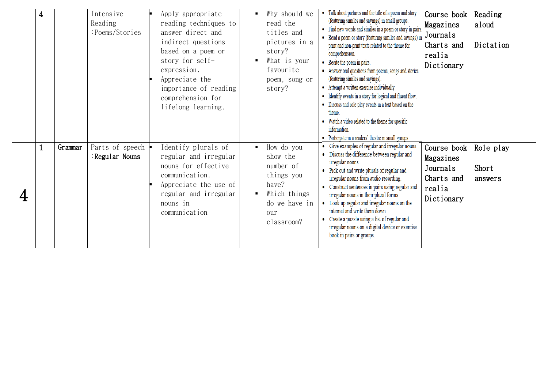|   | 4            |         | Intensive<br>Reading<br>:Poems/Stories | Apply appropriate<br>reading techniques to<br>answer direct and<br>indirect questions<br>based on a poem or<br>story for self-<br>expression.<br>Appreciate the<br>importance of reading<br>comprehension for<br>lifelong learning. | Why should we<br>read the<br>titles and<br>pictures in a<br>story?<br>What is your<br>$\blacksquare$<br>favourite<br>poem, song or<br>story?         | • Talk about pictures and the title of a poem and story<br>(featuring similes and sayings) in small groups.<br>• Find new words and similes in a poem or story in pairs.<br>• Read a poem or story (featuring similes and sayings) in<br>print and non-print texts related to the theme for<br>comprehension.<br>• Recite the poem in pairs.<br>• Answer oral questions from poems, songs and stories<br>(featuring similes and sayings).<br>• Attempt a written exercise individually.<br>• Identify events in a story for logical and fluent flow.<br>• Discuss and role play events in a text based on the<br>theme.<br>• Watch a video related to the theme for specific<br>information.<br>• Participate in a readers' theatre in small groups. | Course book<br>Magazines<br>Journals<br>Charts and<br>realia<br>Dictionary | Reading<br>aloud<br>Dictation |  |
|---|--------------|---------|----------------------------------------|-------------------------------------------------------------------------------------------------------------------------------------------------------------------------------------------------------------------------------------|------------------------------------------------------------------------------------------------------------------------------------------------------|------------------------------------------------------------------------------------------------------------------------------------------------------------------------------------------------------------------------------------------------------------------------------------------------------------------------------------------------------------------------------------------------------------------------------------------------------------------------------------------------------------------------------------------------------------------------------------------------------------------------------------------------------------------------------------------------------------------------------------------------------|----------------------------------------------------------------------------|-------------------------------|--|
| 4 | $\mathbf{1}$ | Grammar | Parts of speech<br>Regular Nouns:      | Identify plurals of<br>regular and irregular<br>nouns for effective<br>communication.<br>Appreciate the use of<br>regular and irregular<br>nouns in<br>communication                                                                | How do you<br>$\blacksquare$<br>show the<br>number of<br>things you<br>have?<br>Which things<br>$\blacksquare$<br>do we have in<br>our<br>classroom? | • Give examples of regular and irregular nouns.<br>• Discuss the difference between regular and<br>irregular nouns.<br>• Pick out and write plurals of regular and<br>irregular nouns from audio recording.<br>• Construct sentences in pairs using regular and<br>irregular nouns in their plural forms.<br>• Look up regular and irregular nouns on the<br>internet and write them down.<br>• Create a puzzle using a list of regular and<br>irregular nouns on a digital device or exercise<br>book in pairs or groups.                                                                                                                                                                                                                           | Course book<br>Magazines<br>Journals<br>Charts and<br>realia<br>Dictionary | Role play<br>Short<br>answers |  |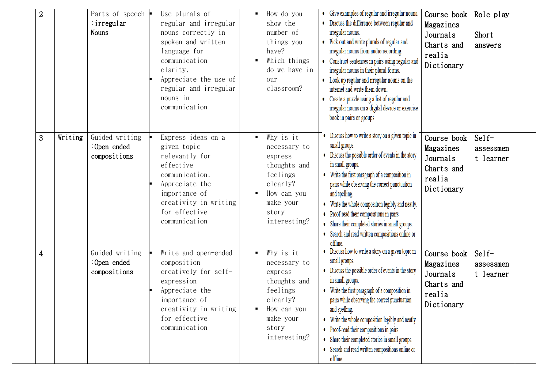| $\overline{2}$ |         | Parts of speech  <br>: irregular<br><b>Nouns</b> | Use plurals of<br>regular and irregular<br>nouns correctly in<br>spoken and written<br>language for<br>communication<br>clarity.<br>Appreciate the use of<br>regular and irregular<br>nouns in<br>communication | $\blacksquare$ | How do you<br>show the<br>number of<br>things you<br>have?<br>Which things<br>do we have in<br>our<br>classroom?                  | • Give examples of regular and irregular nouns.<br>• Discuss the difference between regular and<br>irregular nouns.<br>• Pick out and write plurals of regular and<br>irregular nouns from audio recording.<br>• Construct sentences in pairs using regular and<br>irregular nouns in their plural forms.<br>• Look up regular and irregular nouns on the<br>internet and write them down.<br>• Create a puzzle using a list of regular and<br>irregular nouns on a digital device or exercise<br>book in pairs or groups. | Course book<br>Magazines<br>Journals<br>Charts and<br>realia<br>Dictionary | Role play<br>Short<br>answers           |  |
|----------------|---------|--------------------------------------------------|-----------------------------------------------------------------------------------------------------------------------------------------------------------------------------------------------------------------|----------------|-----------------------------------------------------------------------------------------------------------------------------------|----------------------------------------------------------------------------------------------------------------------------------------------------------------------------------------------------------------------------------------------------------------------------------------------------------------------------------------------------------------------------------------------------------------------------------------------------------------------------------------------------------------------------|----------------------------------------------------------------------------|-----------------------------------------|--|
| 3 <sup>2</sup> | Writing | Guided writing<br>: Open ended<br>compositions   | Express ideas on a<br>given topic<br>relevantly for<br>effective<br>communication.<br>Appreciate the<br>importance of<br>creativity in writing<br>for effective<br>communication                                |                | Why is it<br>necessary to<br>express<br>thoughts and<br>feelings<br>clearly?<br>How can you<br>make your<br>story<br>interesting? | • Discuss how to write a story on a given topic in<br>small groups.<br>• Discuss the possible order of events in the story<br>in small groups.<br>• Write the first paragraph of a composition in<br>pairs while observing the correct punctuation<br>and spelling.<br>Write the whole composition legibly and neatly.<br>• Proof-read their compositions in pairs.<br>• Share their completed stories in small groups.<br>• Search and read written compositions online or<br>offline.                                    | Course book<br>Magazines<br>Journals<br>Charts and<br>realia<br>Dictionary | $\text{Self}$<br>assessmen<br>t learner |  |
| 4              |         | Guided writing<br>:Open ended<br>compositions    | Write and open-ended<br>composition<br>creatively for self-<br>expression<br>Appreciate the<br>importance of<br>creativity in writing<br>for effective<br>communication                                         | $\blacksquare$ | Why is it<br>necessary to<br>express<br>thoughts and<br>feelings<br>clearly?<br>How can you<br>make your<br>story<br>interesting? | Discuss how to write a story on a given topic in<br>small groups.<br>• Discuss the possible order of events in the story<br>in small groups.<br>• Write the first paragraph of a composition in<br>pairs while observing the correct punctuation<br>and spelling.<br>• Write the whole composition legibly and neatly.<br>• Proof-read their compositions in pairs.<br>• Share their completed stories in small groups.<br>• Search and read written compositions online or<br>offline.                                    | Course book<br>Magazines<br>Journals<br>Charts and<br>realia<br>Dictionary | $Self-$<br>assessmen<br>t learner       |  |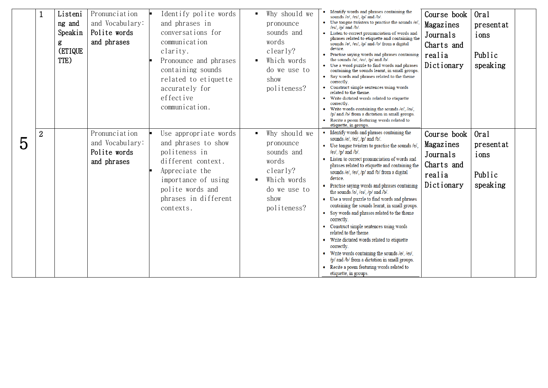|   |                | Listeni                                   | Pronunciation                                                   | Identify polite words                                                                                                                                                                   | ٠. | Why should we                                                                                                       | • Identify words and phrases containing the                                                                                                                                                                                                                                                                                                                                                                                                                                                                                                                                                                                                                                                                                                                                                                                                                                                                       | Course book                                                                | Oral                                            |  |
|---|----------------|-------------------------------------------|-----------------------------------------------------------------|-----------------------------------------------------------------------------------------------------------------------------------------------------------------------------------------|----|---------------------------------------------------------------------------------------------------------------------|-------------------------------------------------------------------------------------------------------------------------------------------------------------------------------------------------------------------------------------------------------------------------------------------------------------------------------------------------------------------------------------------------------------------------------------------------------------------------------------------------------------------------------------------------------------------------------------------------------------------------------------------------------------------------------------------------------------------------------------------------------------------------------------------------------------------------------------------------------------------------------------------------------------------|----------------------------------------------------------------------------|-------------------------------------------------|--|
|   |                | ng and<br>Speakin<br>g<br>(ETIQUE<br>TTE) | and Vocabulary:<br>Polite words<br>and phrases                  | and phrases in<br>conversations for<br>communication<br>clarity.<br>Pronounce and phrases<br>containing sounds<br>related to etiquette<br>accurately for<br>effective<br>communication. |    | pronounce<br>sounds and<br>words<br>clearly?<br>Which words<br>do we use to<br>show<br>politeness?                  | sounds /e/, /ei/, /p/ and /b/.<br>• Use tongue twisters to practise the sounds /e/,<br>$/eu/$ , $/pl$ and $/bl$ .<br>• Listen to correct pronunciation of words and<br>phrases related to etiquette and containing the<br>sounds /e/, /eɪ/, /p/ and /b/ from a digital<br>device.<br>Practise saying words and phrases containing<br>the sounds /e/, /eɪ/, /p/ and /b/.<br>• Use a word puzzle to find words and phrases<br>containing the sounds learnt, in small groups.<br>• Say words and phrases related to the theme<br>correctly.<br>• Construct simple sentences using words<br>related to the theme.<br>• Write dictated words related to etiquette<br>correctly.<br>• Write words containing the sounds /e/, /ei/,<br>/p/ and /b/ from a dictation in small groups.<br>• Recite a poem featuring words related to<br>etiquette, in groups.                                                              | Magazines<br>Journals<br>Charts and<br>realia<br>Dictionary                | presentat<br>ions<br>Public<br>speaking         |  |
| 5 | $\overline{2}$ |                                           | Pronunciation<br>and Vocabulary:<br>Polite words<br>and phrases | Use appropriate words<br>and phrases to show<br>politeness in<br>different context.<br>Appreciate the<br>importance of using<br>polite words and<br>phrases in different<br>contexts.   |    | Why should we<br>pronounce<br>sounds and<br>words<br>clearly?<br>Which words<br>do we use to<br>show<br>politeness? | • Identify words and phrases containing the<br>sounds /e/, /ei/, /p/ and /b/.<br>• Use tongue twisters to practise the sounds /e/,<br>$/$ eɪ $/$ , $/$ p $/$ and $/$ b $/$ .<br>• Listen to correct pronunciation of words and<br>phrases related to etiquette and containing the<br>sounds /e/, /eɪ/, /p/ and /b/ from a digital<br>device.<br>• Practise saying words and phrases containing<br>the sounds /e/, /eɪ/, /p/ and /b/.<br>• Use a word puzzle to find words and phrases<br>containing the sounds learnt, in small groups.<br>• Say words and phrases related to the theme<br>correctly.<br>• Construct simple sentences using words<br>related to the theme.<br>• Write dictated words related to etiquette<br>correctly.<br>• Write words containing the sounds /e/, /eɪ/,<br>/p/ and /b/ from a dictation in small groups.<br>• Recite a poem featuring words related to<br>etiquette, in groups. | Course book<br>Magazines<br>Journals<br>Charts and<br>realia<br>Dictionary | Oral<br>presentat<br>ions<br>Public<br>speaking |  |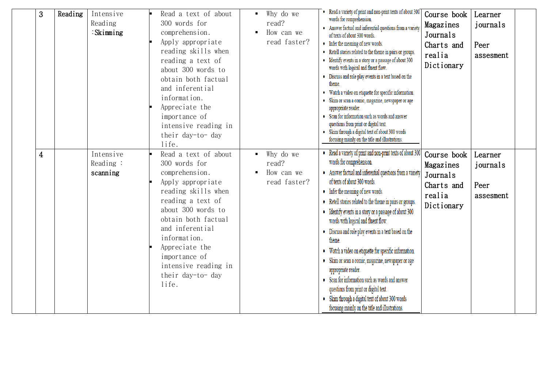| 3              | Reading | Intensive<br>Reading<br>$:$ Skimming | Read a text of about<br>300 words for<br>comprehension.<br>Apply appropriate<br>reading skills when<br>reading a text of<br>about 300 words to<br>obtain both factual<br>and inferential<br>information.<br>Appreciate the<br>importance of<br>intensive reading in<br>their day-to- day<br>life. | Why do we<br>read?<br>How can we<br>read faster? | • Read a variety of print and non-print texts of about 300<br>words for comprehension.<br>• Answer factual and inferential questions from a variety<br>of texts of about 300 words.<br>• Infer the meaning of new words.<br>• Retell stories related to the theme in pairs or groups.<br>• Identify events in a story or a passage of about 300<br>words with logical and fluent flow.<br>• Discuss and role play events in a text based on the<br>theme.<br>• Watch a video on etiquette for specific information.<br>• Skim or scan a comic, magazine, newspaper or age<br>appropriate reader.<br>• Scan for information such as words and answer<br>questions from print or digital text.<br>• Skim through a digital text of about 300 words<br>focusing mainly on the title and illustrations. | Course book<br>Magazines<br>Journals<br>Charts and<br>realia<br>Dictionary | Learner<br>journals<br>Peer<br>assesment |
|----------------|---------|--------------------------------------|---------------------------------------------------------------------------------------------------------------------------------------------------------------------------------------------------------------------------------------------------------------------------------------------------|--------------------------------------------------|-----------------------------------------------------------------------------------------------------------------------------------------------------------------------------------------------------------------------------------------------------------------------------------------------------------------------------------------------------------------------------------------------------------------------------------------------------------------------------------------------------------------------------------------------------------------------------------------------------------------------------------------------------------------------------------------------------------------------------------------------------------------------------------------------------|----------------------------------------------------------------------------|------------------------------------------|
| $\overline{4}$ |         | Intensive<br>Reading:<br>scanning    | Read a text of about<br>300 words for<br>comprehension.<br>Apply appropriate<br>reading skills when<br>reading a text of<br>about 300 words to<br>obtain both factual<br>and inferential<br>information.<br>Appreciate the<br>importance of<br>intensive reading in<br>their day-to- day<br>life. | Why do we<br>read?<br>How can we<br>read faster? | • Read a variety of print and non-print texts of about 300<br>words for comprehension.<br>• Answer factual and inferential questions from a variety<br>of texts of about 300 words.<br>• Infer the meaning of new words.<br>• Retell stories related to the theme in pairs or groups.<br>• Identify events in a story or a passage of about 300<br>words with logical and fluent flow.<br>• Discuss and role play events in a text based on the<br>theme.<br>• Watch a video on etiquette for specific information.<br>• Skim or scan a comic, magazine, newspaper or age<br>appropriate reader.<br>• Scan for information such as words and answer<br>questions from print or digital text.<br>• Skim through a digital text of about 300 words<br>focusing mainly on the title and illustrations. | Course book<br>Magazines<br>Journals<br>Charts and<br>realia<br>Dictionary | Learner<br>journals<br>Peer<br>assesment |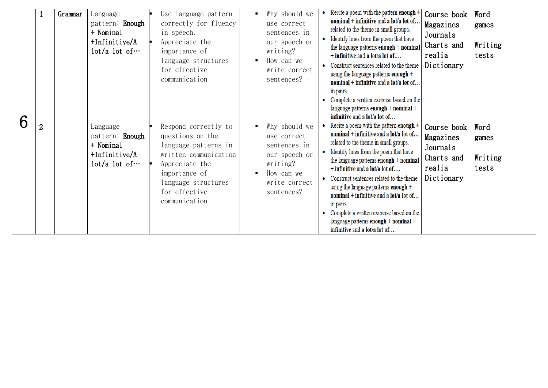| 6 |                | Grammar | Language<br>pattern: <b>Enough</b><br>+ Nominal<br>$+Infinitive/A$<br>$lot/a$ lot of $\cdots$ | Use language pattern<br>correctly for fluency<br>in speech.<br>Appreciate the<br>importance of<br>language structures<br>for effective<br>communication                               | Why should we<br>$\blacksquare$<br>use correct<br>sentences in<br>our speech or<br>writing?<br>How can we<br>$\blacksquare$<br>write correct<br>sentences? | Recite a poem with the pattern enough $+$<br>Course book<br>Word<br>nominal + infinitive and a lot/a lot of<br>Magazines<br>games<br>related to the theme in small groups.<br>Journals<br>• Identify lines from the poem that have<br>Writing<br>Charts and<br>the language patterns enough + nominal<br>realia<br>tests<br>+ infinitive and a lot/a lot of<br>Dictionary<br>• Construct sentences related to the theme<br>using the language patterns enough +<br>nominal + infinitive and a lot/a lot of<br>in pairs.<br>• Complete a written exercise based on the<br>language patterns enough + nominal +<br>infinitive and a lot/a lot of |  |
|---|----------------|---------|-----------------------------------------------------------------------------------------------|---------------------------------------------------------------------------------------------------------------------------------------------------------------------------------------|------------------------------------------------------------------------------------------------------------------------------------------------------------|------------------------------------------------------------------------------------------------------------------------------------------------------------------------------------------------------------------------------------------------------------------------------------------------------------------------------------------------------------------------------------------------------------------------------------------------------------------------------------------------------------------------------------------------------------------------------------------------------------------------------------------------|--|
|   | $\overline{2}$ |         | Language<br>pattern: Enough<br>+ Nominal<br>$+Infinitive/A$<br>$lot/a$ lot of $\cdots$        | Respond correctly to<br>questions on the<br>language patterns in<br>written communication<br>Appreciate the<br>importance of<br>language structures<br>for effective<br>communication | Why should we<br>use correct<br>sentences in<br>our speech or<br>writing?<br>How can we<br>write correct<br>sentences?                                     | • Recite a poem with the pattern enough $+$<br>Course book<br>Word<br>nominal + infinitive and a lot/a lot of<br>Magazines<br>games<br>related to the theme in small groups.<br>Journals<br>• Identify lines from the poem that have<br>Writing<br>Charts and<br>the language patterns enough + nominal<br>realia<br>tests<br>+ infinitive and a lot/a lot of<br>Dictionary<br>• Construct sentences related to the theme<br>using the language patterns enough +<br>nominal + infinitive and a lot/a lot of<br>in pairs.<br>Complete a written exercise based on the<br>language patterns enough + nominal +<br>infinitive and a lot/a lot of |  |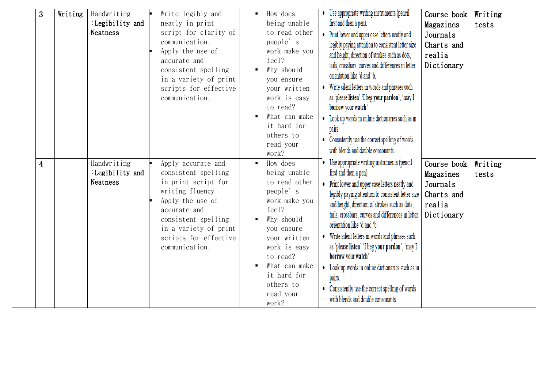| 3              | Writing | Handwriting<br>:Legibility and<br>Neatness        | Write legibly and<br>neatly in print<br>script for clarity of<br>communication.<br>Apply the use of<br>accurate and<br>consistent spelling<br>in a variety of print<br>scripts for effective<br>communication.     | How does<br>being unable<br>to read other<br>people's<br>work make you<br>feel?<br>Why should<br>you ensure<br>your written<br>work is easy<br>to read?<br>What can make<br>it hard for<br>others to<br>read your<br>work? | Use appropriate writing instruments (pencil<br>first and then a pen).<br>Print lower and upper case letters neatly and<br>legibly paying attention to consistent letter size<br>and height, direction of strokes such as dots,<br>tails, crossbars, curves and differences in letter<br>orientation like 'd and 'b.<br>Write silent letters in words and phrases such<br>as 'please listen' 'I beg your pardon', 'may I<br>borrow your watch'<br>• Look up words in online dictionaries such as in<br>pairs.<br>Consistently use the correct spelling of words<br>with blends and double consonants. | Course book<br>Magazines<br>Journals<br>Charts and<br>realia<br>Dictionary | Writing<br>tests |  |
|----------------|---------|---------------------------------------------------|--------------------------------------------------------------------------------------------------------------------------------------------------------------------------------------------------------------------|----------------------------------------------------------------------------------------------------------------------------------------------------------------------------------------------------------------------------|------------------------------------------------------------------------------------------------------------------------------------------------------------------------------------------------------------------------------------------------------------------------------------------------------------------------------------------------------------------------------------------------------------------------------------------------------------------------------------------------------------------------------------------------------------------------------------------------------|----------------------------------------------------------------------------|------------------|--|
| $\overline{4}$ |         | Handwriting<br>:Legibility and<br><b>Neatness</b> | Apply accurate and<br>consistent spelling<br>in print script for<br>writing fluency<br>Apply the use of<br>accurate and<br>consistent spelling<br>in a variety of print<br>scripts for effective<br>communication. | How does<br>being unable<br>to read other<br>people's<br>work make you<br>feel?<br>Why should<br>you ensure<br>your written<br>work is easy<br>to read?<br>What can make<br>it hard for<br>others to<br>read your<br>work? | Use appropriate writing instruments (pencil<br>first and then a pen).<br>Print lower and upper case letters neatly and<br>legibly paying attention to consistent letter size<br>and height, direction of strokes such as dots,<br>tails, crossbars, curves and differences in letter<br>orientation like 'd and 'b.<br>Write silent letters in words and phrases such<br>as 'please listen' 'I beg your pardon', 'may I<br>borrow your watch'<br>Look up words in online dictionaries such as in<br>pairs.<br>Consistently use the correct spelling of words<br>with blends and double consonants.   | Course book<br>Magazines<br>Journals<br>Charts and<br>realia<br>Dictionary | Writing<br>tests |  |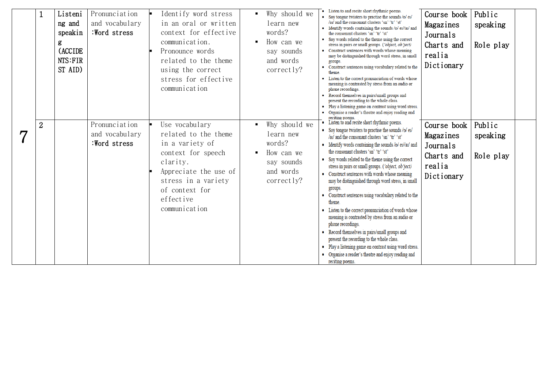|                |                |         |                |                       |                |               | • Listen to and recite short rhythmic poems.                                                                  |             |           |  |
|----------------|----------------|---------|----------------|-----------------------|----------------|---------------|---------------------------------------------------------------------------------------------------------------|-------------|-----------|--|
|                |                | Listeni | Pronunciation  | Identify word stress  | ٠.             | Why should we | • Say tongue twisters to practise the sounds /p/ ei/                                                          | Course book | Public    |  |
|                |                | ng and  | and vocabulary | in an oral or written |                | learn new     | /ai/ and the consonant clusters 'sn' 'tr' 'st'<br>• Identify words containing the sounds /p/ ei//ai/ and      | Magazines   | speaking  |  |
|                |                | speakin | :Word stress   | context for effective |                | words?        | the consonant clusters 'sn' 'tr' 'st'                                                                         | Journals    |           |  |
|                |                | g       |                | communication.        |                | How can we    | • Say words related to the theme using the correct<br>stress in pairs or small groups. ('object, ob'ject)     | Charts and  | Role play |  |
|                |                | (ACCIDE |                | Pronounce words       |                | say sounds    | • Construct sentences with words whose meaning                                                                |             |           |  |
|                |                | NTS:FIR |                | related to the theme  |                | and words     | may be distinguished through word stress, in small<br>groups.                                                 | realia      |           |  |
|                |                | ST AID) |                | using the correct     |                | correctly?    | • Construct sentences using vocabulary related to the                                                         | Dictionary  |           |  |
|                |                |         |                | stress for effective  |                |               | theme.<br>• Listen to the correct pronunciation of words whose                                                |             |           |  |
|                |                |         |                | communication         |                |               | meaning is contrasted by stress from an audio or                                                              |             |           |  |
|                |                |         |                |                       |                |               | phone recordings.<br>• Record themselves in pairs/small groups and                                            |             |           |  |
|                |                |         |                |                       |                |               | present the recording to the whole class.<br>Play a listening game on contrast using word stress.             |             |           |  |
|                |                |         |                |                       |                |               | • Organise a reader's theatre and enjoy reading and                                                           |             |           |  |
|                |                |         |                |                       |                |               | reciting poems.<br>• Listen to and recite short rhythmic poems.                                               |             |           |  |
|                | $\overline{2}$ |         | Pronunciation  | Use vocabulary        | $\blacksquare$ | Why should we | • Say tongue twisters to practise the sounds /p/ ei/                                                          | Course book | Public    |  |
| $\overline{7}$ |                |         | and vocabulary | related to the theme  |                | learn new     | /ai/ and the consonant clusters 'sn' 'tr' 'st'                                                                | Magazines   | speaking  |  |
|                |                |         | :Word stress   | in a variety of       |                | words?        | • Identify words containing the sounds /p/ ei//ai/ and                                                        | Journals    |           |  |
|                |                |         |                | context for speech    |                | How can we    | the consonant clusters 'sn' 'tr' 'st'                                                                         | Charts and  | Role play |  |
|                |                |         |                | clarity.              |                | say sounds    | • Say words related to the theme using the correct<br>stress in pairs or small groups. ('object, ob'ject)     | realia      |           |  |
|                |                |         |                | Appreciate the use of |                | and words     | • Construct sentences with words whose meaning                                                                | Dictionary  |           |  |
|                |                |         |                | stress in a variety   |                | correctly?    | may be distinguished through word stress, in small                                                            |             |           |  |
|                |                |         |                | of context for        |                |               | groups.                                                                                                       |             |           |  |
|                |                |         |                | effective             |                |               | • Construct sentences using vocabulary related to the<br>theme.                                               |             |           |  |
|                |                |         |                | communication         |                |               | • Listen to the correct pronunciation of words whose                                                          |             |           |  |
|                |                |         |                |                       |                |               | meaning is contrasted by stress from an audio or                                                              |             |           |  |
|                |                |         |                |                       |                |               | phone recordings.                                                                                             |             |           |  |
|                |                |         |                |                       |                |               | • Record themselves in pairs/small groups and                                                                 |             |           |  |
|                |                |         |                |                       |                |               | present the recording to the whole class.                                                                     |             |           |  |
|                |                |         |                |                       |                |               | • Play a listening game on contrast using word stress.<br>• Organise a reader's theatre and enjoy reading and |             |           |  |
|                |                |         |                |                       |                |               | reciting poems.                                                                                               |             |           |  |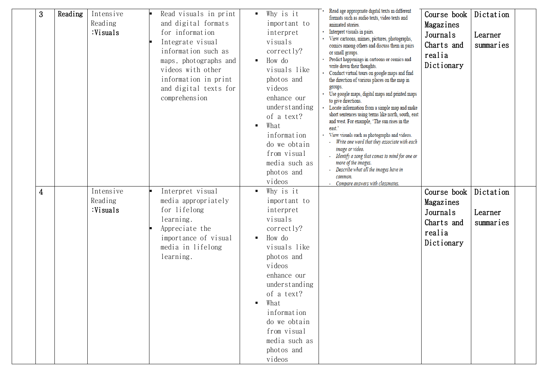| 3 | Reading | Intensive<br>Reading<br>:Visuals | Read visuals in print<br>and digital formats<br>for information<br>Integrate visual<br>information such as<br>maps, photographs and<br>videos with other<br>information in print<br>and digital texts for<br>comprehension | Why is it<br>٠<br>important to<br>interpret<br>visuals<br>correctly?<br>How do<br>visuals like<br>photos and<br>videos<br>enhance our<br>understanding<br>of a text?<br>What<br>information<br>do we obtain<br>from visual<br>media such as<br>photos and<br>videos | Read age appropriate digital texts in different<br>formats such as audio texts, video texts and<br>animated stories.<br>Interpret visuals in pairs.<br>View cartoons, mimes, pictures, photographs,<br>comics among others and discuss them in pairs<br>or small groups.<br>Predict happenings in cartoons or comics and<br>write down their thoughts.<br>Conduct virtual tours on google maps and find<br>the direction of various places on the map in<br>groups.<br>Use google maps, digital maps and printed maps<br>to give directions.<br>Locate information from a simple map and make<br>short sentences using terms like north, south, east<br>and west. For example, 'The sun rises in the<br>east.'<br>View visuals such as photographs and videos.<br>Write one word that they associate with each<br>image or video.<br>- Identify a song that comes to mind for one or<br>more of the images.<br>Describe what all the images have in<br>common.<br>- Compare answers with classmates. | Course book<br>Magazines<br>Journals<br>Charts and<br>realia<br>Dictionary | Dictation<br>Learner<br>summaries |  |
|---|---------|----------------------------------|----------------------------------------------------------------------------------------------------------------------------------------------------------------------------------------------------------------------------|---------------------------------------------------------------------------------------------------------------------------------------------------------------------------------------------------------------------------------------------------------------------|------------------------------------------------------------------------------------------------------------------------------------------------------------------------------------------------------------------------------------------------------------------------------------------------------------------------------------------------------------------------------------------------------------------------------------------------------------------------------------------------------------------------------------------------------------------------------------------------------------------------------------------------------------------------------------------------------------------------------------------------------------------------------------------------------------------------------------------------------------------------------------------------------------------------------------------------------------------------------------------------------|----------------------------------------------------------------------------|-----------------------------------|--|
| 4 |         | Intensive<br>Reading<br>:Visuals | Interpret visual<br>media appropriately<br>for lifelong<br>learning.<br>Appreciate the<br>importance of visual<br>media in lifelong<br>learning.                                                                           | Why is it<br>important to<br>interpret<br>visuals<br>correctly?<br>How do<br>visuals like<br>photos and<br>videos<br>enhance our<br>understanding<br>of a text?<br>What<br>information<br>do we obtain<br>from visual<br>media such as<br>photos and<br>videos      |                                                                                                                                                                                                                                                                                                                                                                                                                                                                                                                                                                                                                                                                                                                                                                                                                                                                                                                                                                                                      | Course book<br>Magazines<br>Journals<br>Charts and<br>realia<br>Dictionary | Dictation<br>Learner<br>summaries |  |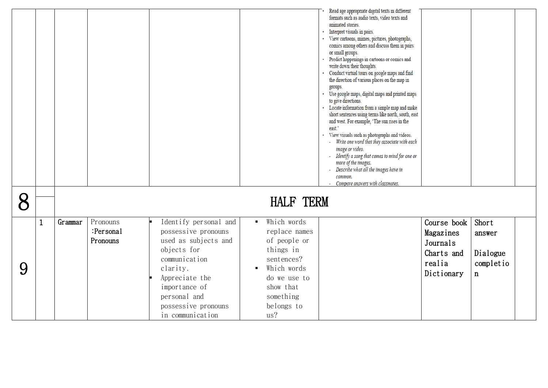|   |              |         |                                   |                                                                                                                                                                                                                |                                                                                                                                                                       | Read age appropriate digital texts in different<br>formats such as audio texts, video texts and<br>animated stories.<br>Interpret visuals in pairs.<br>· View cartoons, mimes, pictures, photographs,<br>comics among others and discuss them in pairs<br>or small groups.<br>Predict happenings in cartoons or comics and<br>write down their thoughts.<br>Conduct virtual tours on google maps and find<br>the direction of various places on the map in<br>groups.<br>Use google maps, digital maps and printed maps<br>to give directions.<br>Locate information from a simple map and make<br>short sentences using terms like north, south, east<br>and west. For example, 'The sun rises in the<br>east.'<br>View visuals such as photographs and videos.<br>Write one word that they associate with each<br>image or video.<br>Identify a song that comes to mind for one or<br>more of the images.<br>Describe what all the images have in<br>common.<br>Compare answers with classmates. |                                                                            |                                                         |  |
|---|--------------|---------|-----------------------------------|----------------------------------------------------------------------------------------------------------------------------------------------------------------------------------------------------------------|-----------------------------------------------------------------------------------------------------------------------------------------------------------------------|----------------------------------------------------------------------------------------------------------------------------------------------------------------------------------------------------------------------------------------------------------------------------------------------------------------------------------------------------------------------------------------------------------------------------------------------------------------------------------------------------------------------------------------------------------------------------------------------------------------------------------------------------------------------------------------------------------------------------------------------------------------------------------------------------------------------------------------------------------------------------------------------------------------------------------------------------------------------------------------------------|----------------------------------------------------------------------------|---------------------------------------------------------|--|
| 8 |              |         |                                   |                                                                                                                                                                                                                | <b>HALF TERM</b>                                                                                                                                                      |                                                                                                                                                                                                                                                                                                                                                                                                                                                                                                                                                                                                                                                                                                                                                                                                                                                                                                                                                                                                    |                                                                            |                                                         |  |
| 9 | $\mathbf{1}$ | Grammar | Pronouns<br>:Personal<br>Pronouns | Identify personal and<br>possessive pronouns<br>used as subjects and<br>objects for<br>communication<br>clarity.<br>Appreciate the<br>importance of<br>personal and<br>possessive pronouns<br>in communication | Which words<br>$\mathbf{r}$<br>replace names<br>of people or<br>things in<br>sentences?<br>Which words<br>do we use to<br>show that<br>something<br>belongs to<br>us? |                                                                                                                                                                                                                                                                                                                                                                                                                                                                                                                                                                                                                                                                                                                                                                                                                                                                                                                                                                                                    | Course book<br>Magazines<br>Journals<br>Charts and<br>realia<br>Dictionary | Short<br>answer<br>Dialogue<br>completio<br>$\mathbf n$ |  |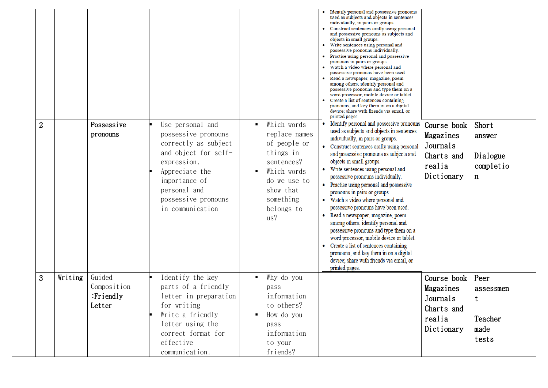|                |         |                                              |                                                                                                                                                                                                      |                                                                                                                                                       | Identify personal and possessive pronouns<br>used as subjects and objects in sentences<br>individually, in pairs or groups.<br>Construct sentences orally using personal<br>and possessive pronouns as subjects and<br>objects in small groups.<br>Write sentences using personal and<br>possessive pronouns individually.<br>Practise using personal and possessive<br>pronouns in pairs or groups.<br>Watch a video where personal and<br>possessive pronouns have been used.<br>Read a newspaper, magazine, poem<br>among others; identify personal and<br>possessive pronouns and type them on a<br>word processor, mobile device or tablet.<br>Create a list of sentences containing<br>pronouns, and key them in on a digital<br>device; share with friends via email, or<br>printed pages.   |                                                                            |                                                    |  |
|----------------|---------|----------------------------------------------|------------------------------------------------------------------------------------------------------------------------------------------------------------------------------------------------------|-------------------------------------------------------------------------------------------------------------------------------------------------------|-----------------------------------------------------------------------------------------------------------------------------------------------------------------------------------------------------------------------------------------------------------------------------------------------------------------------------------------------------------------------------------------------------------------------------------------------------------------------------------------------------------------------------------------------------------------------------------------------------------------------------------------------------------------------------------------------------------------------------------------------------------------------------------------------------|----------------------------------------------------------------------------|----------------------------------------------------|--|
| $\overline{2}$ |         | Possessive<br>pronouns                       | Use personal and<br>possessive pronouns<br>correctly as subject<br>and object for self-<br>expression.<br>Appreciate the<br>importance of<br>personal and<br>possessive pronouns<br>in communication | Which words<br>replace names<br>of people or<br>things in<br>sentences?<br>Which words<br>do we use to<br>show that<br>something<br>belongs to<br>us? | Identify personal and possessive pronouns<br>used as subjects and objects in sentences<br>individually, in pairs or groups.<br>• Construct sentences orally using personal<br>and possessive pronouns as subjects and<br>objects in small groups.<br>Write sentences using personal and<br>possessive pronouns individually.<br>Practise using personal and possessive<br>pronouns in pairs or groups.<br>Watch a video where personal and<br>possessive pronouns have been used.<br>Read a newspaper, magazine, poem<br>among others; identify personal and<br>possessive pronouns and type them on a<br>word processor, mobile device or tablet.<br>Create a list of sentences containing<br>pronouns, and key them in on a digital<br>device; share with friends via email, or<br>printed pages. | Course book<br>Magazines<br>Journals<br>Charts and<br>realia<br>Dictionary | Short<br>answer<br>Dialogue<br>completio<br>n      |  |
| 3              | Writing | Guided<br>Composition<br>:Friendly<br>Letter | Identify the key<br>parts of a friendly<br>letter in preparation<br>for writing<br>Write a friendly<br>letter using the<br>correct format for<br>effective<br>communication.                         | Why do you<br>pass<br>information<br>to others?<br>How do you<br>pass<br>information<br>to your<br>friends?                                           |                                                                                                                                                                                                                                                                                                                                                                                                                                                                                                                                                                                                                                                                                                                                                                                                     | Course book<br>Magazines<br>Journals<br>Charts and<br>realia<br>Dictionary | Peer<br>assessmen<br>t<br>Teacher<br>made<br>tests |  |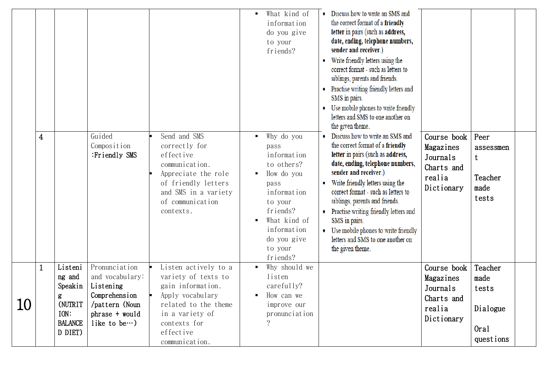|    | $\overline{\mathbf{4}}$ |                                                                                   | Guided<br>Composition<br>:Friendly SMS                                                                                      | Send and SMS<br>correctly for<br>effective<br>communication.<br>Appreciate the role<br>of friendly letters<br>and SMS in a variety<br>of communication<br>contexts.            | What kind of<br>$\blacksquare$<br>information<br>do you give<br>to your<br>friends?<br>Why do you<br>$\blacksquare$<br>pass<br>information<br>to others?<br>How do you<br>pass<br>information<br>to your<br>friends?<br>What kind of<br>information<br>do you give<br>to your | • Discuss how to write an SMS and<br>the correct format of a friendly<br>letter in pairs (such as address,<br>date, ending, telephone numbers,<br>sender and receiver.)<br>Write friendly letters using the<br>correct format - such as letters to<br>siblings, parents and friends.<br>• Practise writing friendly letters and<br>SMS in pairs.<br>• Use mobile phones to write friendly<br>letters and SMS to one another on<br>the given theme.<br>• Discuss how to write an SMS and<br>the correct format of a friendly<br>letter in pairs (such as address,<br>date, ending, telephone numbers,<br>sender and receiver.)<br>• Write friendly letters using the<br>correct format - such as letters to<br>siblings, parents and friends.<br>• Practise writing friendly letters and<br>SMS in pairs.<br>• Use mobile phones to write friendly<br>letters and SMS to one another on<br>the given theme. | Course book<br>Magazines<br>Journals<br>Charts and<br>realia<br>Dictionary | Peer<br>assessmen<br>t<br>Teacher<br>made<br>tests        |  |
|----|-------------------------|-----------------------------------------------------------------------------------|-----------------------------------------------------------------------------------------------------------------------------|--------------------------------------------------------------------------------------------------------------------------------------------------------------------------------|-------------------------------------------------------------------------------------------------------------------------------------------------------------------------------------------------------------------------------------------------------------------------------|------------------------------------------------------------------------------------------------------------------------------------------------------------------------------------------------------------------------------------------------------------------------------------------------------------------------------------------------------------------------------------------------------------------------------------------------------------------------------------------------------------------------------------------------------------------------------------------------------------------------------------------------------------------------------------------------------------------------------------------------------------------------------------------------------------------------------------------------------------------------------------------------------------|----------------------------------------------------------------------------|-----------------------------------------------------------|--|
| 10 | $\mathbf{1}$            | Listeni<br>ng and<br>Speakin<br>g<br>(NUTRIT<br>ION:<br><b>BALANCE</b><br>D DIET) | Pronunciation<br>and vocabulary:<br>Listening<br>Comprehension<br>/pattern (Noun<br>phrase + would<br>like to be $\cdots$ ) | Listen actively to a<br>variety of texts to<br>gain information.<br>Apply vocabulary<br>related to the theme<br>in a variety of<br>contexts for<br>effective<br>communication. | friends?<br>Why should we<br>$\blacksquare$<br>listen<br>carefully?<br>How can we<br>improve our<br>pronunciation<br>$\overline{?}$                                                                                                                                           |                                                                                                                                                                                                                                                                                                                                                                                                                                                                                                                                                                                                                                                                                                                                                                                                                                                                                                            | Course book<br>Magazines<br>Journals<br>Charts and<br>realia<br>Dictionary | Teacher<br>made<br>tests<br>Dialogue<br>Oral<br>questions |  |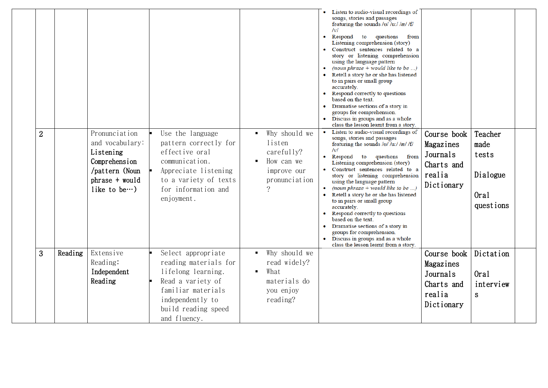|                |         |                                                                                                                             |                                                                                                                                                                         |                                                                                                 | Listen to audio-visual recordings of<br>songs, stories and passages<br>featuring the sounds / $U / u$ ://æ//f/<br> v <br>Respond<br>to questions<br>from<br>$\bullet$<br>Listening comprehension (story)<br>Construct sentences related to a<br>story or listening comprehension<br>using the language pattern<br>(noun phrase $+$ would like to be )<br>Retell a story he or she has listened<br>to in pairs or small group<br>accurately.<br>Respond correctly to questions<br>based on the text.<br>Dramatise sections of a story in<br>groups for comprehension.<br>• Discuss in groups and as a whole<br>class the lesson learnt from a story. |                                                                            |                                                           |
|----------------|---------|-----------------------------------------------------------------------------------------------------------------------------|-------------------------------------------------------------------------------------------------------------------------------------------------------------------------|-------------------------------------------------------------------------------------------------|-----------------------------------------------------------------------------------------------------------------------------------------------------------------------------------------------------------------------------------------------------------------------------------------------------------------------------------------------------------------------------------------------------------------------------------------------------------------------------------------------------------------------------------------------------------------------------------------------------------------------------------------------------|----------------------------------------------------------------------------|-----------------------------------------------------------|
| $\overline{2}$ |         | Pronunciation<br>and vocabulary:<br>Listening<br>Comprehension<br>/pattern (Noun<br>phrase + would<br>like to be $\cdots$ ) | Use the language<br>pattern correctly for<br>effective oral<br>communication.<br>Appreciate listening<br>to a variety of texts<br>for information and<br>enjoyment.     | Why should we<br>listen<br>carefully?<br>How can we<br>improve our<br>pronunciation<br>$\gamma$ | Listen to audio-visual recordings of<br>songs, stories and passages<br>featuring the sounds /o/ /uː/ /æ/ /f/<br>/v/<br>Respond to questions from<br>Listening comprehension (story)<br>Construct sentences related to a<br>story or listening comprehension<br>using the language pattern<br>(noun phrase $+$ would like to be )<br>Retell a story he or she has listened<br>to in pairs or small group<br>accurately.<br>Respond correctly to questions<br>based on the text.<br>Dramatise sections of a story in<br>groups for comprehension.<br>• Discuss in groups and as a whole<br>class the lesson learnt from a story.                      | Course book<br>Magazines<br>Journals<br>Charts and<br>realia<br>Dictionary | Teacher<br>made<br>tests<br>Dialogue<br>Oral<br>questions |
| 3              | Reading | Extensive<br>Reading:<br>Independent<br>Reading                                                                             | Select appropriate<br>reading materials for<br>lifelong learning.<br>Read a variety of<br>familiar materials<br>independently to<br>build reading speed<br>and fluency. | Why should we<br>read widely?<br>What<br>٠<br>materials do<br>you enjoy<br>reading?             |                                                                                                                                                                                                                                                                                                                                                                                                                                                                                                                                                                                                                                                     | Course book<br>Magazines<br>Journals<br>Charts and<br>realia<br>Dictionary | Dictation<br>Oral<br>interview<br>S                       |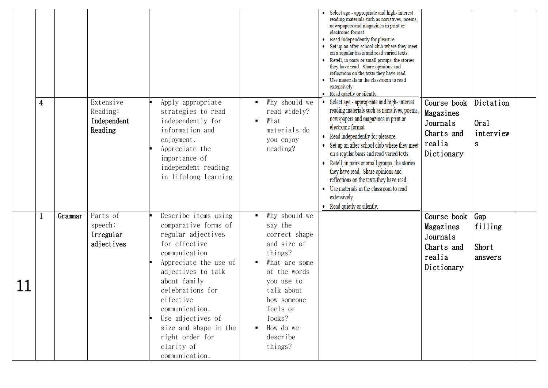|    | 4 |         | Extensive<br>Reading:<br>Independent<br>Reading | Apply appropriate<br>strategies to read<br>independently for<br>information and<br>enjoyment.<br>Appreciate the<br>importance of<br>independent reading<br>in lifelong learning                                                                                                                                         | Why should we<br>read widely?<br>What<br>п<br>materials do<br>you enjoy<br>reading?                                                                                                                       | • Select age - appropriate and high-interest<br>reading materials such as narratives, poems,<br>newspapers and magazines in print or<br>electronic format.<br>Read independently for pleasure.<br>• Set up an after-school club where they meet<br>on a regular basis and read varied texts.<br>• Retell, in pairs or small groups, the stories<br>they have read. Share opinions and<br>reflections on the texts they have read.<br>• Use materials in the classroom to read<br>extensively.<br>• Read quietly or silently.<br>• Select age - appropriate and high-interest<br>reading materials such as narratives, poems,<br>newspapers and magazines in print or<br>electronic format.<br>• Read independently for pleasure.<br>• Set up an after-school club where they meet<br>on a regular basis and read varied texts.<br>• Retell, in pairs or small groups, the stories<br>they have read. Share opinions and<br>reflections on the texts they have read.<br>• Use materials in the classroom to read<br>extensively.<br>• Read quietly or silently. | Course book<br>Magazines<br>Journals<br>Charts and<br>realia<br>Dictionary | Dictation<br>Oral<br>interview<br>S. |  |
|----|---|---------|-------------------------------------------------|-------------------------------------------------------------------------------------------------------------------------------------------------------------------------------------------------------------------------------------------------------------------------------------------------------------------------|-----------------------------------------------------------------------------------------------------------------------------------------------------------------------------------------------------------|----------------------------------------------------------------------------------------------------------------------------------------------------------------------------------------------------------------------------------------------------------------------------------------------------------------------------------------------------------------------------------------------------------------------------------------------------------------------------------------------------------------------------------------------------------------------------------------------------------------------------------------------------------------------------------------------------------------------------------------------------------------------------------------------------------------------------------------------------------------------------------------------------------------------------------------------------------------------------------------------------------------------------------------------------------------|----------------------------------------------------------------------------|--------------------------------------|--|
| 11 |   | Grammar | Parts of<br>speech:<br>Irregular<br>adjectives  | Describe items using<br>comparative forms of<br>regular adjectives<br>for effective<br>communication<br>Appreciate the use of<br>adjectives to talk<br>about family<br>celebrations for<br>effective<br>communication.<br>Use adjectives of<br>size and shape in the<br>right order for<br>clarity of<br>communication. | Why should we<br>say the<br>correct shape<br>and size of<br>things?<br>What are some<br>of the words<br>you use to<br>talk about<br>how someone<br>feels or<br>looks?<br>How do we<br>describe<br>things? |                                                                                                                                                                                                                                                                                                                                                                                                                                                                                                                                                                                                                                                                                                                                                                                                                                                                                                                                                                                                                                                                | Course book<br>Magazines<br>Journals<br>Charts and<br>realia<br>Dictionary | Gap<br>filling<br>Short<br>answers   |  |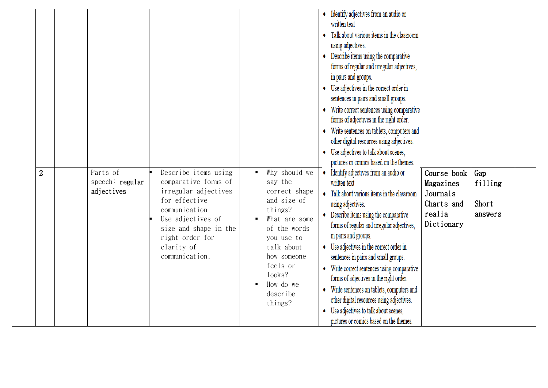| $\overline{2}$ | Parts of                      | Describe items using                                                                                                                                                            | Why should we                                                                                                                                                                            | • Identify adjectives from an audio or<br>written text<br>Talk about various items in the classroom<br>$\bullet$<br>using adjectives.<br>Describe items using the comparative<br>forms of regular and irregular adjectives,<br>in pairs and groups.<br>• Use adjectives in the correct order in<br>sentences in pairs and small groups.<br>Write correct sentences using comparative<br>۰<br>forms of adjectives in the right order.<br>Write sentences on tablets, computers and<br>٠<br>other digital resources using adjectives.<br>• Use adjectives to talk about scenes,<br>pictures or comics based on the themes. | Course book                                                 |                                    |  |
|----------------|-------------------------------|---------------------------------------------------------------------------------------------------------------------------------------------------------------------------------|------------------------------------------------------------------------------------------------------------------------------------------------------------------------------------------|--------------------------------------------------------------------------------------------------------------------------------------------------------------------------------------------------------------------------------------------------------------------------------------------------------------------------------------------------------------------------------------------------------------------------------------------------------------------------------------------------------------------------------------------------------------------------------------------------------------------------|-------------------------------------------------------------|------------------------------------|--|
|                | speech: regular<br>adjectives | comparative forms of<br>irregular adjectives<br>for effective<br>communication<br>Use adjectives of<br>size and shape in the<br>right order for<br>clarity of<br>communication. | say the<br>correct shape<br>and size of<br>things?<br>What are some<br>of the words<br>you use to<br>talk about<br>how someone<br>feels or<br>looks?<br>How do we<br>describe<br>things? | Identify adjectives from an audio or<br>written text<br>Talk about various items in the classroom<br>using adjectives.<br>Describe items using the comparative<br>forms of regular and irregular adjectives,<br>in pairs and groups.<br>Use adjectives in the correct order in<br>sentences in pairs and small groups.<br>Write correct sentences using comparative<br>forms of adjectives in the right order.<br>Write sentences on tablets, computers and<br>other digital resources using adjectives.<br>Use adjectives to talk about scenes,<br>pictures or comics based on the themes.                              | Magazines<br>Journals<br>Charts and<br>realia<br>Dictionary | Gap<br>filling<br>Short<br>answers |  |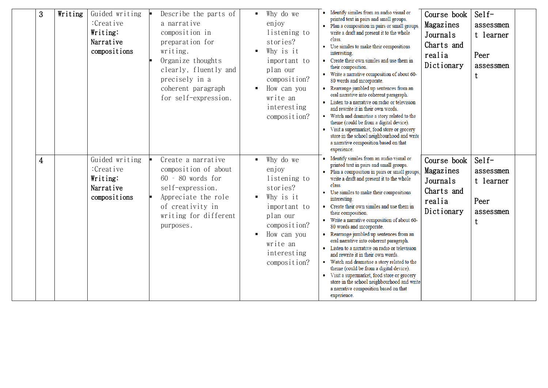| 3              | Writing | Guided writing<br>:Creative<br>Writing:<br>Narrative<br>compositions | Describe the parts of<br>a narrative<br>composition in<br>preparation for<br>writing.<br>Organize thoughts<br>clearly, fluently and<br>precisely in a<br>coherent paragraph<br>for self-expression. | Why do we<br>enjoy<br>listening to<br>stories?<br>Why is it<br>important to<br>plan our<br>composition?<br>How can you<br>write an<br>interesting<br>composition? | • Identify similes from an audio visual or<br>printed text in pairs and small groups.<br>· Plan a composition in pairs or small groups,<br>write a draft and present it to the whole<br>class.<br>Use similes to make their compositions<br>interesting.<br>• Create their own similes and use them in<br>their composition.<br>Write a narrative composition of about 60-<br>80 words and incorporate.<br>Rearrange jumbled up sentences from an<br>oral narrative into coherent paragraph.<br>Listen to a narrative on radio or television<br>and rewrite it in their own words.<br>Watch and dramatise a story related to the<br>theme (could be from a digital device).<br>Visit a supermarket, food store or grocery<br>store in the school neighbourhood and write<br>a narrative composition based on that<br>experience. | Course book<br>Magazines<br>Journals<br>Charts and<br>realia<br>Dictionary | $\text{Self}$<br>assessmen<br>t learner<br>Peer<br>assessmen<br>t |
|----------------|---------|----------------------------------------------------------------------|-----------------------------------------------------------------------------------------------------------------------------------------------------------------------------------------------------|-------------------------------------------------------------------------------------------------------------------------------------------------------------------|----------------------------------------------------------------------------------------------------------------------------------------------------------------------------------------------------------------------------------------------------------------------------------------------------------------------------------------------------------------------------------------------------------------------------------------------------------------------------------------------------------------------------------------------------------------------------------------------------------------------------------------------------------------------------------------------------------------------------------------------------------------------------------------------------------------------------------|----------------------------------------------------------------------------|-------------------------------------------------------------------|
| $\overline{4}$ |         | Guided writing<br>:Creative<br>Writing:<br>Narrative<br>compositions | Create a narrative<br>composition of about<br>60 - 80 words for<br>self-expression.<br>Appreciate the role<br>of creativity in<br>writing for different<br>purposes.                                | Why do we<br>enjoy<br>listening to<br>stories?<br>Why is it<br>important to<br>plan our<br>composition?<br>How can you<br>write an<br>interesting<br>composition? | Identify similes from an audio visual or<br>printed text in pairs and small groups.<br>Plan a composition in pairs or small groups,<br>write a draft and present it to the whole<br>class.<br>Use similes to make their compositions<br>interesting.<br>Create their own similes and use them in<br>their composition.<br>• Write a narrative composition of about 60-<br>80 words and incorporate.<br>Rearrange jumbled up sentences from an<br>oral narrative into coherent paragraph.<br>• Listen to a narrative on radio or television<br>and rewrite it in their own words.<br>Watch and dramatise a story related to the<br>theme (could be from a digital device).<br>• Visit a supermarket, food store or grocery<br>store in the school neighbourhood and write<br>a narrative composition based on that<br>experience. | Course book<br>Magazines<br>Journals<br>Charts and<br>realia<br>Dictionary | $\text{Self}$<br>assessmen<br>t learner<br>Peer<br>assessmen<br>t |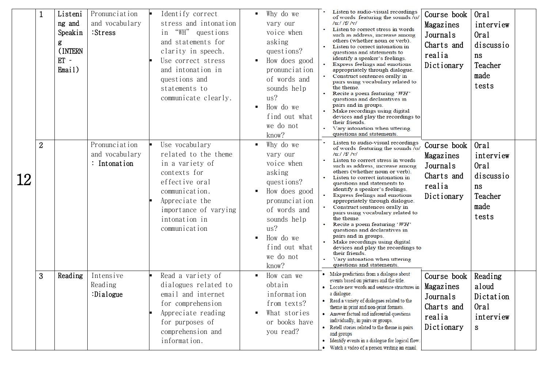| $\overline{2}$ | Listeni<br>ng and<br>Speakin<br>g<br>(INTERN<br>$ET -$<br>Email) | Pronunciation<br>and vocabulary<br>:Stress<br>Pronunciation<br>and vocabulary<br>: Intonation | Identify correct<br>stress and intonation<br>"WH" questions<br>in<br>and statements for<br>clarity in speech.<br>Use correct stress<br>and intonation in<br>questions and<br>statements to<br>communicate clearly.<br>Use vocabulary<br>related to the theme<br>in a variety of<br>contexts for<br>effective oral<br>communication.<br>Appreciate the<br>importance of varying<br>intonation in<br>communication | Why do we<br>$\blacksquare$<br>vary our<br>voice when<br>asking<br>questions?<br>How does good<br>$\blacksquare$<br>pronunciation<br>of words and<br>sounds help<br>us?<br>How do we<br>$\blacksquare$<br>find out what<br>we do not<br>know?<br>Why do we<br>vary our<br>voice when<br>asking<br>questions?<br>How does good<br>pronunciation<br>of words and<br>sounds help<br>us?<br>How do we<br>٠ | $\bullet$     | Listen to audio-visual recordings<br>of words featuring the sounds /o/<br>/u:/ /f/ /v/<br>such as address, increase among<br>others (whether noun or verb).<br>Listen to correct intonation in<br>questions and statements to<br>identify a speaker's feelings.<br>pairs using vocabulary related to<br>the theme.<br>questions and declaratives in<br>devices and play the recordings to<br>their friends.<br>questions and statements.<br>of words featuring the sounds /o/<br>$/u$ :// $f$ / $v$ /<br>Listen to correct stress in words<br>such as address, increase among<br>others (whether noun or verb).<br>Listen to correct intonation in<br>questions and statements to<br>identify a speaker's feelings.<br>appropriately through dialogue.<br>pairs using vocabulary related to<br>the theme.<br>questions and declaratives in | Course book<br>Magazines<br>Journals<br>Charts and<br>realia<br>Dictionary<br>Course book<br>Magazines<br>Journals<br>Charts and<br>realia<br>Dictionary                                                                                                                                                                                                                                                                                                                                                                                                                                                                                                                                                                                                                                                                                                                                                                                                                                                                                         | Oral<br>interview<br>Oral<br>discussio<br>ns<br>Teacher<br>made<br>tests<br>Oral<br>interview<br>0ral<br>discussio<br>ns<br>Teacher<br>made<br>tests |  |
|----------------|------------------------------------------------------------------|-----------------------------------------------------------------------------------------------|------------------------------------------------------------------------------------------------------------------------------------------------------------------------------------------------------------------------------------------------------------------------------------------------------------------------------------------------------------------------------------------------------------------|--------------------------------------------------------------------------------------------------------------------------------------------------------------------------------------------------------------------------------------------------------------------------------------------------------------------------------------------------------------------------------------------------------|---------------|--------------------------------------------------------------------------------------------------------------------------------------------------------------------------------------------------------------------------------------------------------------------------------------------------------------------------------------------------------------------------------------------------------------------------------------------------------------------------------------------------------------------------------------------------------------------------------------------------------------------------------------------------------------------------------------------------------------------------------------------------------------------------------------------------------------------------------------------|--------------------------------------------------------------------------------------------------------------------------------------------------------------------------------------------------------------------------------------------------------------------------------------------------------------------------------------------------------------------------------------------------------------------------------------------------------------------------------------------------------------------------------------------------------------------------------------------------------------------------------------------------------------------------------------------------------------------------------------------------------------------------------------------------------------------------------------------------------------------------------------------------------------------------------------------------------------------------------------------------------------------------------------------------|------------------------------------------------------------------------------------------------------------------------------------------------------|--|
| 3              | Reading                                                          | Intensive<br>Reading<br>:Dialogue                                                             | Read a variety of<br>dialogues related to<br>email and internet<br>for comprehension<br>Appreciate reading<br>for purposes of<br>comprehension and<br>information.                                                                                                                                                                                                                                               | we do not<br>know?<br>How can we<br>$\blacksquare$<br>obtain<br>information<br>from texts?<br>What stories<br>or books have<br>you read?                                                                                                                                                                                                                                                               |               | their friends.<br>questions and statements.                                                                                                                                                                                                                                                                                                                                                                                                                                                                                                                                                                                                                                                                                                                                                                                                | Course book<br>Magazines<br>Journals<br>Charts and<br>realia<br>Dictionary                                                                                                                                                                                                                                                                                                                                                                                                                                                                                                                                                                                                                                                                                                                                                                                                                                                                                                                                                                       | Reading<br>aloud<br>Dictation<br>Oral<br>interview<br>S                                                                                              |  |
|                |                                                                  |                                                                                               |                                                                                                                                                                                                                                                                                                                                                                                                                  |                                                                                                                                                                                                                                                                                                                                                                                                        | find out what |                                                                                                                                                                                                                                                                                                                                                                                                                                                                                                                                                                                                                                                                                                                                                                                                                                            | Listen to correct stress in words<br>Express feelings and emotions<br>appropriately through dialogue.<br>Construct sentences orally in<br>Recite a poem featuring 'WH'<br>pairs and in groups.<br>Make recordings using digital<br>Vary intonation when uttering<br>Listen to audio-visual recordings<br>Express feelings and emotions<br>Construct sentences orally in<br>Recite a poem featuring 'WH'<br>pairs and in groups.<br>Make recordings using digital<br>devices and play the recordings to<br>• Vary intonation when uttering<br>• Make predictions from a dialogue about<br>events based on pictures and the title.<br>• Locate new words and sentence structures in<br>a dialogue.<br>Read a variety of dialogues related to the<br>theme in print and non-print formats.<br>• Answer factual and inferential questions<br>individually, in pairs or groups.<br>• Retell stories related to the theme in pairs<br>and groups<br>• Identify events in a dialogue for logical flow.<br>• Watch a video of a person writing an email. |                                                                                                                                                      |  |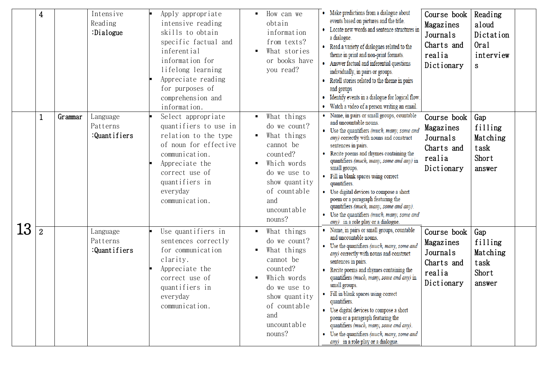|    | $\overline{\mathbf{4}}$ |         | Intensive<br>Reading<br>:Dialogue    | Apply appropriate<br>intensive reading<br>skills to obtain<br>specific factual and<br>inferential<br>information for<br>lifelong learning<br>Appreciate reading<br>for purposes of<br>comprehension and<br>information. | How can we<br>obtain<br>information<br>from texts?<br>What stories<br>or books have<br>you read?                                                                                                        | • Make predictions from a dialogue about<br>events based on pictures and the title.<br>• Locate new words and sentence structures in<br>a dialogue.<br>• Read a variety of dialogues related to the<br>theme in print and non-print formats.<br>• Answer factual and inferential questions<br>individually, in pairs or groups.<br>Retell stories related to the theme in pairs<br>and groups<br>• Identify events in a dialogue for logical flow.<br>• Watch a video of a person writing an email.                                                                             | Course book<br>Magazines<br>Journals<br>Charts and<br>realia<br>Dictionary | Reading<br>aloud<br>Dictation<br>Oral<br>interview<br>S. |  |
|----|-------------------------|---------|--------------------------------------|-------------------------------------------------------------------------------------------------------------------------------------------------------------------------------------------------------------------------|---------------------------------------------------------------------------------------------------------------------------------------------------------------------------------------------------------|---------------------------------------------------------------------------------------------------------------------------------------------------------------------------------------------------------------------------------------------------------------------------------------------------------------------------------------------------------------------------------------------------------------------------------------------------------------------------------------------------------------------------------------------------------------------------------|----------------------------------------------------------------------------|----------------------------------------------------------|--|
|    | 1                       | Grammar | Language<br>Patterns<br>:Quantifiers | Select appropriate<br>quantifiers to use in<br>relation to the type<br>of noun for effective<br>communication.<br>Appreciate the<br>correct use of<br>quantifiers in<br>everyday<br>communication.                      | What things<br>do we count?<br>What things<br>cannot be<br>counted?<br>Which words<br>do we use to<br>show quantity<br>of countable<br>and<br>uncountable<br>nouns?                                     | · Name, in pairs or small groups, countable<br>and uncountable nouns.<br>• Use the quantifiers (much, many, some and<br>any) correctly with nouns and construct<br>sentences in pairs.<br>• Recite poems and rhymes containing the<br>quantifiers (much, many, some and any) in<br>small groups.<br>• Fill in blank spaces using correct<br>quantifiers.<br>• Use digital devices to compose a short<br>poem or a paragraph featuring the<br>quantifiers (much, many, some and any).<br>• Use the quantifiers (much, many, some and<br>$any)$ in a role play or a dialogue.     | Course book<br>Magazines<br>Journals<br>Charts and<br>realia<br>Dictionary | Gap<br>filling<br>Matching<br>task<br>Short<br>answer    |  |
| 13 | $\overline{2}$          |         | Language<br>Patterns<br>:Quantifiers | Use quantifiers in<br>sentences correctly<br>for communication<br>clarity.<br>Appreciate the<br>correct use of<br>quantifiers in<br>everyday<br>communication.                                                          | What things<br>$\blacksquare$<br>do we count?<br>What things<br>$\blacksquare$<br>cannot be<br>counted?<br>Which words<br>do we use to<br>show quantity<br>of countable<br>and<br>uncountable<br>nouns? | • Name, in pairs or small groups, countable<br>and uncountable nouns.<br>• Use the quantifiers (much, many, some and<br>any) correctly with nouns and construct<br>sentences in pairs.<br>Recite poems and rhymes containing the<br>quantifiers (much, many, some and any) in<br>small groups.<br>• Fill in blank spaces using correct<br>quantifiers.<br>• Use digital devices to compose a short<br>poem or a paragraph featuring the<br>quantifiers (much, many, some and any).<br>• Use the quantifiers (much, many, some and<br><i>any</i> ) in a role play or a dialogue. | Course book<br>Magazines<br>Journals<br>Charts and<br>realia<br>Dictionary | Gap<br>filling<br>Matching<br>task<br>Short<br>answer    |  |